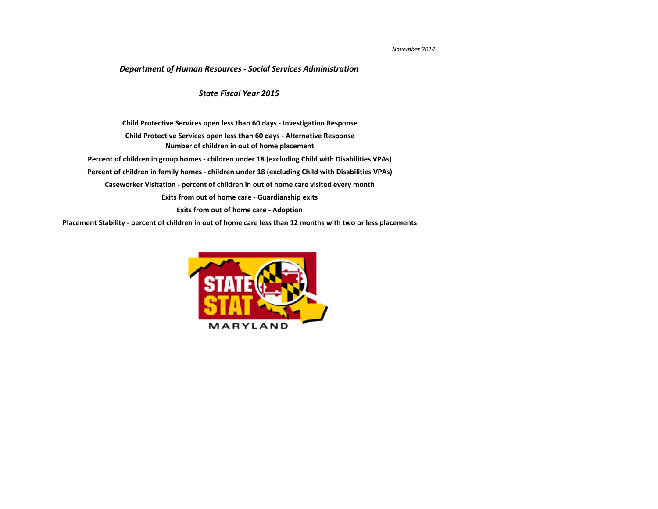## *November 2014*

**[Placement Stability - percent of children in out of home care less than 12 months with two or less placements](#page-10-0)**



## *Department of Human Resources - Social Services Administration*

**[Caseworker Visitation - percent of children in out of home care visited every month](#page-7-0) [Exits from out of home care - Guardianship exits](#page-8-0) [Exits from out of home care - Adoption](#page-9-0) [Child Protective Services open less than 60 days - Investigation Response](#page-2-0) [Number of children in out of home placement](#page-4-0) [Child Protective Services open less than 60 days - Alternative Response](#page-3-0) [Percent of children in group homes - children under 18 \(excluding Child with Disabilities VPAs\)](#page-5-0) [Percent of children in family homes - children under 18 \(excluding Child with Disabilities VPAs\)](#page-6-0)**

## *State Fiscal Year 2015*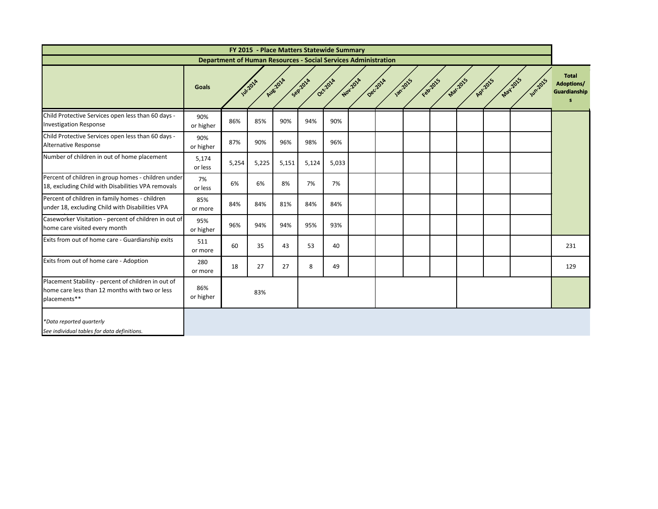|                                                                                                                       |                  |                                                                       |                  |         | FY 2015 - Place Matters Statewide Summary |                     |          |                |          |          |         |                          |                                                        |
|-----------------------------------------------------------------------------------------------------------------------|------------------|-----------------------------------------------------------------------|------------------|---------|-------------------------------------------|---------------------|----------|----------------|----------|----------|---------|--------------------------|--------------------------------------------------------|
|                                                                                                                       |                  | <b>Department of Human Resources - Social Services Administration</b> |                  |         |                                           |                     |          |                |          |          |         |                          |                                                        |
|                                                                                                                       | <b>Goals</b>     |                                                                       | <b>Jul-201</b> 4 | Au82014 | Seprana                                   | Novicial<br>Occ701A | Dec.2014 | <b>1872015</b> | February | Nat.2015 | AP 2015 | May2015<br><b>Wh2015</b> | <b>Total</b><br><b>Adoptions/</b><br>Guardianship<br>s |
| Child Protective Services open less than 60 days -<br><b>Investigation Response</b>                                   | 90%<br>or higher | 86%                                                                   | 85%              | 90%     | 94%                                       | 90%                 |          |                |          |          |         |                          |                                                        |
| Child Protective Services open less than 60 days -<br>Alternative Response                                            | 90%<br>or higher | 87%                                                                   | 90%              | 96%     | 98%                                       | 96%                 |          |                |          |          |         |                          |                                                        |
| Number of children in out of home placement                                                                           | 5,174<br>or less | 5,254                                                                 | 5,225            | 5,151   | 5,124                                     | 5,033               |          |                |          |          |         |                          |                                                        |
| Percent of children in group homes - children under<br>18, excluding Child with Disabilities VPA removals             | 7%<br>or less    | 6%                                                                    | 6%               | 8%      | 7%                                        | 7%                  |          |                |          |          |         |                          |                                                        |
| Percent of children in family homes - children<br>under 18, excluding Child with Disabilities VPA                     | 85%<br>or more   | 84%                                                                   | 84%              | 81%     | 84%                                       | 84%                 |          |                |          |          |         |                          |                                                        |
| Caseworker Visitation - percent of children in out of<br>home care visited every month                                | 95%<br>or higher | 96%                                                                   | 94%              | 94%     | 95%                                       | 93%                 |          |                |          |          |         |                          |                                                        |
| Exits from out of home care - Guardianship exits                                                                      | 511<br>or more   | 60                                                                    | 35               | 43      | 53                                        | 40                  |          |                |          |          |         |                          | 231                                                    |
| Exits from out of home care - Adoption                                                                                | 280<br>or more   | 18                                                                    | 27               | 27      | 8                                         | 49                  |          |                |          |          |         |                          | 129                                                    |
| Placement Stability - percent of children in out of<br>home care less than 12 months with two or less<br>placements** | 86%<br>or higher |                                                                       | 83%              |         |                                           |                     |          |                |          |          |         |                          |                                                        |
| *Data reported quarterly<br>See individual tables for data definitions.                                               |                  |                                                                       |                  |         |                                           |                     |          |                |          |          |         |                          |                                                        |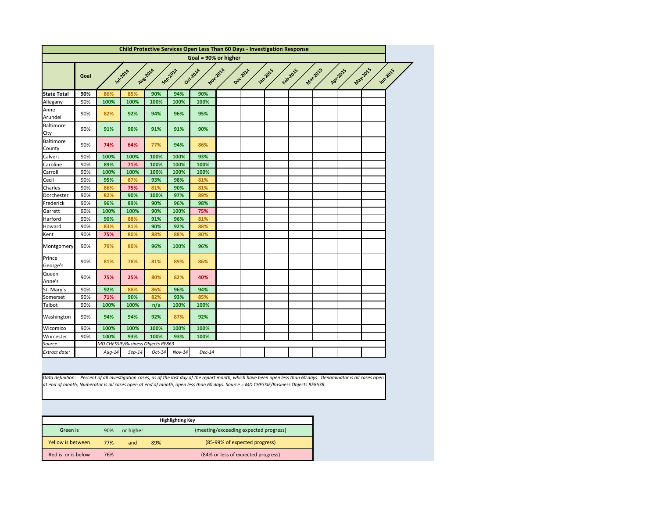<span id="page-2-0"></span>

|                          |      |                                   |                  |          |                     | <b>Child Protective Services Open Less Than 60 Days - Investigation Response</b> |          |          |                 |          |                 |          |                             |
|--------------------------|------|-----------------------------------|------------------|----------|---------------------|----------------------------------------------------------------------------------|----------|----------|-----------------|----------|-----------------|----------|-----------------------------|
|                          |      |                                   |                  |          |                     | Goal = 90% or higher                                                             |          |          |                 |          |                 |          |                             |
|                          | Goal |                                   | <b>Jul-201</b> 4 | Aug 2014 | Sep <sub>201A</sub> | Oct-2014                                                                         | Nov.2014 | Dec.2014 | <b>Jan-2015</b> | Februars | <b>Mar.2015</b> | Apr.2015 | May 2015<br><b>Jun-2015</b> |
| <b>State Total</b>       | 90%  | 86%                               | 85%              | 90%      | 94%                 | 90%                                                                              |          |          |                 |          |                 |          |                             |
| Allegany                 | 90%  | 100%                              | 100%             | 100%     | 100%                | 100%                                                                             |          |          |                 |          |                 |          |                             |
| Anne<br>Arundel          | 90%  | 82%                               | 92%              | 94%      | 96%                 | 95%                                                                              |          |          |                 |          |                 |          |                             |
| <b>Baltimore</b><br>City | 90%  | 91%                               | 90%              | 91%      | 91%                 | 90%                                                                              |          |          |                 |          |                 |          |                             |
| Baltimore<br>County      | 90%  | 74%                               | 64%              | 77%      | 94%                 | 86%                                                                              |          |          |                 |          |                 |          |                             |
| Calvert                  | 90%  | 100%                              | 100%             | 100%     | 100%                | 93%                                                                              |          |          |                 |          |                 |          |                             |
| Caroline                 | 90%  | 89%                               | 71%              | 100%     | 100%                | 100%                                                                             |          |          |                 |          |                 |          |                             |
| Carroll                  | 90%  | 100%                              | 100%             | 100%     | 100%                | 100%                                                                             |          |          |                 |          |                 |          |                             |
| Cecil                    | 90%  | 95%                               | 87%              | 93%      | 98%                 | 81%                                                                              |          |          |                 |          |                 |          |                             |
| Charles                  | 90%  | 86%                               | 75%              | 81%      | 90%                 | 81%                                                                              |          |          |                 |          |                 |          |                             |
| Dorchester               | 90%  | 82%                               | 90%              | 100%     | 97%                 | 89%                                                                              |          |          |                 |          |                 |          |                             |
| Frederick                | 90%  | 96%                               | 89%              | 90%      | 96%                 | 98%                                                                              |          |          |                 |          |                 |          |                             |
| Garrett                  | 90%  | 100%                              | 100%             | 90%      | 100%                | 75%                                                                              |          |          |                 |          |                 |          |                             |
| Harford                  | 90%  | 90%                               | 88%              | 91%      | 96%                 | 81%                                                                              |          |          |                 |          |                 |          |                             |
| Howard                   | 90%  | 83%                               | 81%              | 90%      | 92%                 | 88%                                                                              |          |          |                 |          |                 |          |                             |
| Kent                     | 90%  | 75%                               | 80%              | 88%      | 88%                 | 80%                                                                              |          |          |                 |          |                 |          |                             |
| Montgomery               | 90%  | 79%                               | 80%              | 96%      | 100%                | 96%                                                                              |          |          |                 |          |                 |          |                             |
| Prince<br>George's       | 90%  | 81%                               | 78%              | 81%      | 89%                 | 86%                                                                              |          |          |                 |          |                 |          |                             |
| Queen<br>Anne's          | 90%  | 75%                               | 25%              | 80%      | 82%                 | 40%                                                                              |          |          |                 |          |                 |          |                             |
| St. Mary's               | 90%  | 92%                               | 88%              | 86%      | 96%                 | 94%                                                                              |          |          |                 |          |                 |          |                             |
| Somerset                 | 90%  | 71%                               | 90%              | 82%      | 93%                 | 85%                                                                              |          |          |                 |          |                 |          |                             |
| Talbot                   | 90%  | 100%                              | 100%             | n/a      | 100%                | 100%                                                                             |          |          |                 |          |                 |          |                             |
| Washington               | 90%  | 94%                               | 94%              | 92%      | 87%                 | 92%                                                                              |          |          |                 |          |                 |          |                             |
| Wicomico                 | 90%  | 100%                              | 100%             | 100%     | 100%                | 100%                                                                             |          |          |                 |          |                 |          |                             |
| Worcester                | 90%  | 100%                              | 93%              | 100%     | 93%                 | 100%                                                                             |          |          |                 |          |                 |          |                             |
| Source:                  |      | MD CHESSIE/Business Objects RE863 |                  |          |                     |                                                                                  |          |          |                 |          |                 |          |                             |
| Extract date:            |      | $Aug-14$                          | $Sep-14$         | $Oct-14$ | $Nov-14$            | $Dec-14$                                                                         |          |          |                 |          |                 |          |                             |

*Data definition: Percent of all investigation cases, as of the last day of the report month, which have been open less than 60 days. Denominator is all cases open at end of month; Numerator is all cases open at end of month, open less than 60 days. Source = MD CHESSIE/Business Objects RE863R.*

|                    |     |           |     | <b>Highlighting Key</b>               |
|--------------------|-----|-----------|-----|---------------------------------------|
| Green is           | 90% | or higher |     | (meeting/exceeding expected progress) |
| Yellow is between  | 77% | and       | 89% | (85-99% of expected progress)         |
| Red is or is below | 76% |           |     | (84% or less of expected progress)    |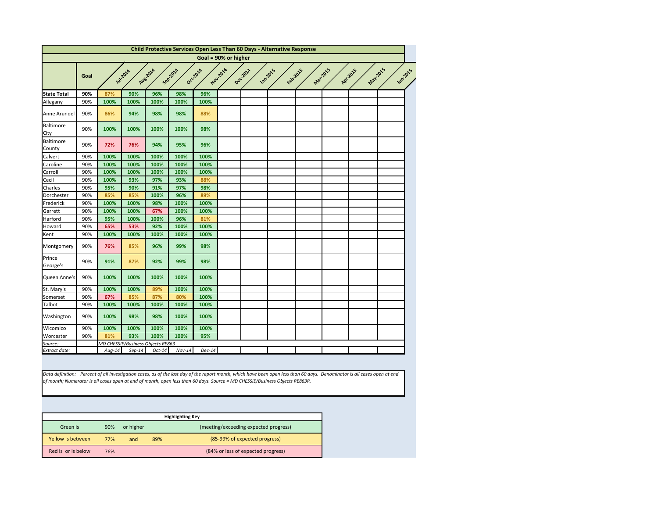<span id="page-3-0"></span>

| <b>State Total</b><br>Allegany<br>Anne Arundel | Goal<br>90% | <b>141-2018</b> |          |                                   |                     |          | Goal = 90% or higher |         |                 |          |                 |                        |                |
|------------------------------------------------|-------------|-----------------|----------|-----------------------------------|---------------------|----------|----------------------|---------|-----------------|----------|-----------------|------------------------|----------------|
|                                                |             |                 |          |                                   |                     |          |                      |         |                 |          |                 |                        |                |
|                                                |             |                 |          | Aug 2014                          | Sep <sub>202a</sub> | Oct.2014 | Nov.2014             | Deczola | <b>Jan-2015</b> | Februars | <b>Mar.2015</b> | May-2015<br>A.Pr. 2015 | <b>Jun2015</b> |
|                                                |             | 87%             | 90%      | 96%                               | 98%                 | 96%      |                      |         |                 |          |                 |                        |                |
|                                                | 90%         | 100%            | 100%     | 100%                              | 100%                | 100%     |                      |         |                 |          |                 |                        |                |
|                                                | 90%         | 86%             | 94%      | 98%                               | 98%                 | 88%      |                      |         |                 |          |                 |                        |                |
| <b>Baltimore</b><br>City                       | 90%         | 100%            | 100%     | 100%                              | 100%                | 98%      |                      |         |                 |          |                 |                        |                |
| Baltimore<br>County                            | 90%         | 72%             | 76%      | 94%                               | 95%                 | 96%      |                      |         |                 |          |                 |                        |                |
| Calvert                                        | 90%         | 100%            | 100%     | 100%                              | 100%                | 100%     |                      |         |                 |          |                 |                        |                |
| Caroline                                       | 90%         | 100%            | 100%     | 100%                              | 100%                | 100%     |                      |         |                 |          |                 |                        |                |
| Carroll                                        | 90%         | 100%            | 100%     | 100%                              | 100%                | 100%     |                      |         |                 |          |                 |                        |                |
| Cecil                                          | 90%         | 100%            | 93%      | 97%                               | 93%                 | 88%      |                      |         |                 |          |                 |                        |                |
| Charles                                        | 90%         | 95%             | 90%      | 91%                               | 97%                 | 98%      |                      |         |                 |          |                 |                        |                |
| Dorchester                                     | 90%         | 85%             | 85%      | 100%                              | 96%                 | 89%      |                      |         |                 |          |                 |                        |                |
| Frederick                                      | 90%         | 100%            | 100%     | 98%                               | 100%                | 100%     |                      |         |                 |          |                 |                        |                |
| Garrett                                        | 90%         | 100%            | 100%     | 67%                               | 100%                | 100%     |                      |         |                 |          |                 |                        |                |
| Harford                                        | 90%         | 95%             | 100%     | 100%                              | 96%                 | 81%      |                      |         |                 |          |                 |                        |                |
| Howard                                         | 90%         | 65%             | 53%      | 92%                               | 100%                | 100%     |                      |         |                 |          |                 |                        |                |
| Kent                                           | 90%         | 100%            | 100%     | 100%                              | 100%                | 100%     |                      |         |                 |          |                 |                        |                |
| Montgomery                                     | 90%         | 76%             | 85%      | 96%                               | 99%                 | 98%      |                      |         |                 |          |                 |                        |                |
| Prince<br>George's                             | 90%         | 91%             | 87%      | 92%                               | 99%                 | 98%      |                      |         |                 |          |                 |                        |                |
| Queen Anne's                                   | 90%         | 100%            | 100%     | 100%                              | 100%                | 100%     |                      |         |                 |          |                 |                        |                |
| St. Mary's                                     | 90%         | 100%            | 100%     | 89%                               | 100%                | 100%     |                      |         |                 |          |                 |                        |                |
| Somerset                                       | 90%         | 67%             | 85%      | 87%                               | 80%                 | 100%     |                      |         |                 |          |                 |                        |                |
| Talbot                                         | 90%         | 100%            | 100%     | 100%                              | 100%                | 100%     |                      |         |                 |          |                 |                        |                |
| Washington                                     | 90%         | 100%            | 98%      | 98%                               | 100%                | 100%     |                      |         |                 |          |                 |                        |                |
| Wicomico                                       | 90%         | 100%            | 100%     | 100%                              | 100%                | 100%     |                      |         |                 |          |                 |                        |                |
| Worcester                                      | 90%         | 81%             | 93%      | 100%                              | 100%                | 95%      |                      |         |                 |          |                 |                        |                |
| Source:                                        |             |                 |          | MD CHESSIE/Business Objects RE863 |                     |          |                      |         |                 |          |                 |                        |                |
| Extract date:                                  |             | $Aug-14$        | $Sep-14$ | $Oct-14$                          | $Nov-14$            | $Dec-14$ |                      |         |                 |          |                 |                        |                |

|                    |     |           |     | <b>Highlighting Key</b>               |
|--------------------|-----|-----------|-----|---------------------------------------|
| Green is           | 90% | or higher |     | (meeting/exceeding expected progress) |
| Yellow is between  | 77% | and       | 89% | (85-99% of expected progress)         |
| Red is or is below | 76% |           |     | (84% or less of expected progress)    |

*of month; Numerator is all cases open at end of month, open less than 60 days. Source = MD CHESSIE/Business Objects RE863R.*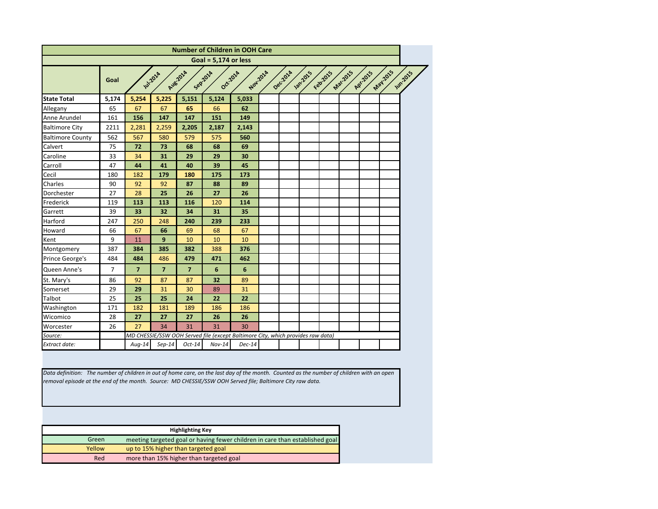<span id="page-4-0"></span>

|                         |                |                         |                |                         | <b>Number of Children in OOH Care</b>                                           |                 |          |         |          |                 |          |         |         |
|-------------------------|----------------|-------------------------|----------------|-------------------------|---------------------------------------------------------------------------------|-----------------|----------|---------|----------|-----------------|----------|---------|---------|
|                         |                |                         |                |                         | Goal = $5,174$ or less                                                          |                 |          |         |          |                 |          |         |         |
|                         | Goal           |                         | Jul-2014       | Aug-2014                | Seprata<br>Oct-2014                                                             | Nov.2014        | Dec.2014 | Jan2015 | Febricis | <b>Mar.2015</b> | RPI-2015 | May2015 | Jumpors |
| <b>State Total</b>      | 5,174          | 5,254                   | 5,225          | 5,151                   | 5,124                                                                           | 5,033           |          |         |          |                 |          |         |         |
| Allegany                | 65             | 67                      | 67             | 65                      | 66                                                                              | 62              |          |         |          |                 |          |         |         |
| Anne Arundel            | 161            | 156                     | 147            | 147                     | 151                                                                             | 149             |          |         |          |                 |          |         |         |
| <b>Baltimore City</b>   | 2211           | 2,281                   | 2,259          | 2,205                   | 2,187                                                                           | 2,143           |          |         |          |                 |          |         |         |
| <b>Baltimore County</b> | 562            | 567                     | 580            | 579                     | 575                                                                             | 560             |          |         |          |                 |          |         |         |
| Calvert                 | 75             | 72                      | 73             | 68                      | 68                                                                              | 69              |          |         |          |                 |          |         |         |
| Caroline                | 33             | 34                      | 31             | 29                      | 29                                                                              | 30              |          |         |          |                 |          |         |         |
| Carroll                 | 47             | 44                      | 41             | 40                      | 39                                                                              | 45              |          |         |          |                 |          |         |         |
| Cecil                   | 180            | 182                     | 179            | 180                     | 175                                                                             | 173             |          |         |          |                 |          |         |         |
| Charles                 | 90             | 92                      | 92             | 87                      | 88                                                                              | 89              |          |         |          |                 |          |         |         |
| Dorchester              | 27             | 28                      | 25             | 26                      | 27                                                                              | 26              |          |         |          |                 |          |         |         |
| Frederick               | 119            | 113                     | 113            | 116                     | 120                                                                             | 114             |          |         |          |                 |          |         |         |
| Garrett                 | 39             | 33                      | 32             | 34                      | 31                                                                              | 35              |          |         |          |                 |          |         |         |
| Harford                 | 247            | 250                     | 248            | 240                     | 239                                                                             | 233             |          |         |          |                 |          |         |         |
| Howard                  | 66             | 67                      | 66             | 69                      | 68                                                                              | 67              |          |         |          |                 |          |         |         |
| Kent                    | 9              | 11                      | 9              | 10                      | 10                                                                              | 10              |          |         |          |                 |          |         |         |
| Montgomery              | 387            | 384                     | 385            | 382                     | 388                                                                             | 376             |          |         |          |                 |          |         |         |
| Prince George's         | 484            | 484                     | 486            | 479                     | 471                                                                             | 462             |          |         |          |                 |          |         |         |
| Queen Anne's            | $\overline{7}$ | $\overline{\mathbf{z}}$ | $\overline{7}$ | $\overline{\mathbf{z}}$ | 6                                                                               | $6\phantom{1}6$ |          |         |          |                 |          |         |         |
| St. Mary's              | 86             | 92                      | 87             | 87                      | 32                                                                              | 89              |          |         |          |                 |          |         |         |
| Somerset                | 29             | 29                      | 31             | 30                      | 89                                                                              | 31              |          |         |          |                 |          |         |         |
| Talbot                  | 25             | 25                      | 25             | 24                      | 22                                                                              | 22              |          |         |          |                 |          |         |         |
| Washington              | 171            | 182                     | 181            | 189                     | 186                                                                             | 186             |          |         |          |                 |          |         |         |
| Wicomico                | 28             | 27                      | 27             | 27                      | 26                                                                              | 26              |          |         |          |                 |          |         |         |
| Worcester               | 26             | 27                      | 34             | 31                      | 31                                                                              | 30              |          |         |          |                 |          |         |         |
| Source:                 |                |                         |                |                         | MD CHESSIE/SSW OOH Served file (except Baltimore City, which provides raw data) |                 |          |         |          |                 |          |         |         |
| Extract date:           |                | $Aug-14$                | $Sep-14$       | $Oct-14$                | $Nov-14$                                                                        | $Dec-14$        |          |         |          |                 |          |         |         |

*Data definition: The number of children in out of home care, on the last day of the month. Counted as the number of children with an open removal episode at the end of the month. Source: MD CHESSIE/SSW OOH Served file; Baltimore City raw data.*

|        | <b>Highlighting Key</b>                                                      |
|--------|------------------------------------------------------------------------------|
| Green  | meeting targeted goal or having fewer children in care than established goal |
| Yellow | up to 15% higher than targeted goal                                          |
| Red    | more than 15% higher than targeted goal                                      |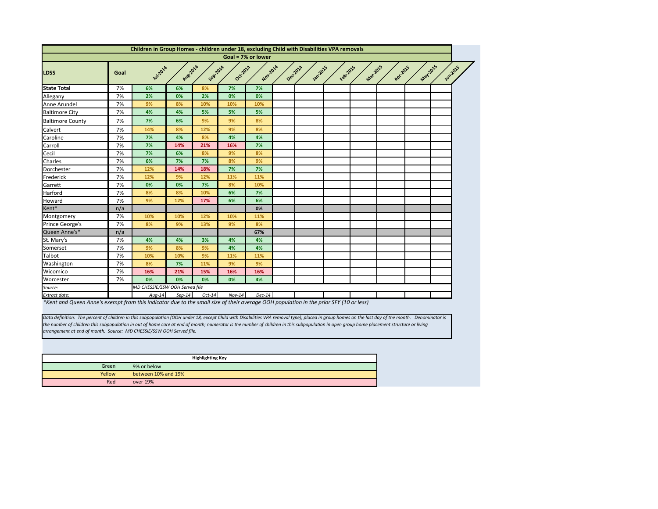

<span id="page-5-0"></span>

|                         |      | Children in Group Homes - children under 18, excluding Child with Disabilities VPA removals |          |          |          |                    |          |                  |         |          |          |         |      |
|-------------------------|------|---------------------------------------------------------------------------------------------|----------|----------|----------|--------------------|----------|------------------|---------|----------|----------|---------|------|
|                         |      |                                                                                             |          |          |          | Goal = 7% or lower |          |                  |         |          |          |         |      |
| <b>LDSS</b>             | Goal | <b>11/2014</b>                                                                              | Aug 2014 | Sep201A  | Oct-2014 | Nov.2014           | Dec.2014 | <b>1201-2015</b> | Feb2015 | Mar.2015 | Apr.2015 | May2015 | Jun? |
| <b>State Total</b>      | 7%   | 6%                                                                                          | 6%       | 8%       | 7%       | 7%                 |          |                  |         |          |          |         |      |
| Allegany                | 7%   | 2%                                                                                          | 0%       | 2%       | 0%       | 0%                 |          |                  |         |          |          |         |      |
| Anne Arundel            | 7%   | 9%                                                                                          | 8%       | 10%      | 10%      | 10%                |          |                  |         |          |          |         |      |
| <b>Baltimore City</b>   | 7%   | 4%                                                                                          | 4%       | 5%       | 5%       | 5%                 |          |                  |         |          |          |         |      |
| <b>Baltimore County</b> | 7%   | 7%                                                                                          | 6%       | 9%       | 9%       | 8%                 |          |                  |         |          |          |         |      |
| Calvert                 | 7%   | 14%                                                                                         | 8%       | 12%      | 9%       | 8%                 |          |                  |         |          |          |         |      |
| Caroline                | 7%   | 7%                                                                                          | 4%       | 8%       | 4%       | 4%                 |          |                  |         |          |          |         |      |
| Carroll                 | 7%   | 7%                                                                                          | 14%      | 21%      | 16%      | 7%                 |          |                  |         |          |          |         |      |
| Cecil                   | 7%   | 7%                                                                                          | 6%       | 8%       | 9%       | 8%                 |          |                  |         |          |          |         |      |
| Charles                 | 7%   | 6%                                                                                          | 7%       | 7%       | 8%       | 9%                 |          |                  |         |          |          |         |      |
| Dorchester              | 7%   | 12%                                                                                         | 14%      | 18%      | 7%       | 7%                 |          |                  |         |          |          |         |      |
| Frederick               | 7%   | 12%                                                                                         | 9%       | 12%      | 11%      | 11%                |          |                  |         |          |          |         |      |
| Garrett                 | 7%   | 0%                                                                                          | 0%       | 7%       | 8%       | 10%                |          |                  |         |          |          |         |      |
| Harford                 | 7%   | 8%                                                                                          | 8%       | 10%      | 6%       | 7%                 |          |                  |         |          |          |         |      |
| Howard                  | 7%   | 9%                                                                                          | 12%      | 17%      | 6%       | 6%                 |          |                  |         |          |          |         |      |
| Kent*                   | n/a  |                                                                                             |          |          |          | 0%                 |          |                  |         |          |          |         |      |
| Montgomery              | 7%   | 10%                                                                                         | 10%      | 12%      | 10%      | 11%                |          |                  |         |          |          |         |      |
| Prince George's         | 7%   | 8%                                                                                          | 9%       | 13%      | 9%       | 8%                 |          |                  |         |          |          |         |      |
| Queen Anne's*           | n/a  |                                                                                             |          |          |          | 67%                |          |                  |         |          |          |         |      |
| St. Mary's              | 7%   | 4%                                                                                          | 4%       | 3%       | 4%       | 4%                 |          |                  |         |          |          |         |      |
| Somerset                | 7%   | 9%                                                                                          | 8%       | 9%       | 4%       | 4%                 |          |                  |         |          |          |         |      |
| Talbot                  | 7%   | 10%                                                                                         | 10%      | 9%       | 11%      | 11%                |          |                  |         |          |          |         |      |
| Washington              | 7%   | 8%                                                                                          | 7%       | 11%      | 9%       | 9%                 |          |                  |         |          |          |         |      |
| Wicomico                | 7%   | 16%                                                                                         | 21%      | 15%      | 16%      | 16%                |          |                  |         |          |          |         |      |
| Worcester               | 7%   | 0%                                                                                          | 0%       | 0%       | 0%       | 4%                 |          |                  |         |          |          |         |      |
| Source:                 |      | MD CHESSIE/SSW OOH Served file                                                              |          |          |          |                    |          |                  |         |          |          |         |      |
| Extract date:           |      | $Aug-14$                                                                                    | $Sep-14$ | $Oct-14$ | $Nov-14$ | $Dec-14$           |          |                  |         |          |          |         |      |

*\*Kent and Queen Anne's exempt from this indicator due to the small size of their average OOH population in the prior SFY (10 or less)*

|        | <b>Highlighting Key</b> |
|--------|-------------------------|
| Green  | 9% or below             |
| Yellow | between 10% and 19%     |
| Red    | over 19%                |

*Data definition: The percent of children in this subpopulation (OOH under 18, except Child with Disabilities VPA removal type), placed in group homes on the last day of the month. Denominator is the number of children this subpopulation in out of home care at end of month; numerator is the number of children in this subpopulation in open group home placement structure or living arrangement at end of month. Source: MD CHESSIE/SSW OOH Served file.*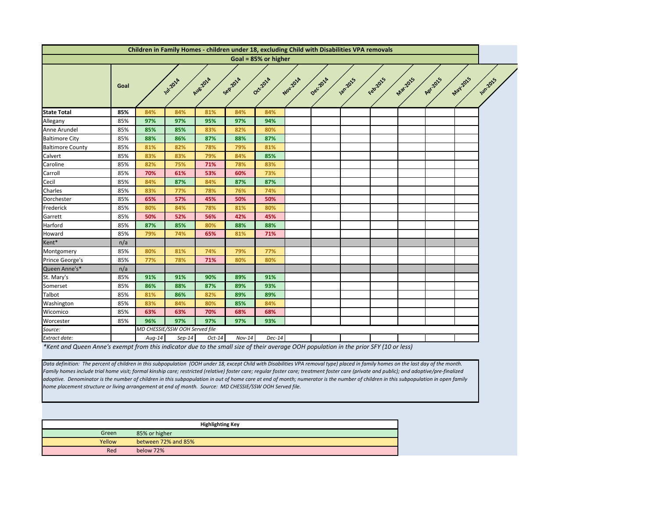<span id="page-6-0"></span>

|                         |      |          |                                |          |          | Children in Family Homes - children under 18, excluding Child with Disabilities VPA removals |          |          |               |          |          |          |          |                 |
|-------------------------|------|----------|--------------------------------|----------|----------|----------------------------------------------------------------------------------------------|----------|----------|---------------|----------|----------|----------|----------|-----------------|
|                         |      |          |                                |          |          | Goal = 85% or higher                                                                         |          |          |               |          |          |          |          |                 |
|                         | Goal |          | <b>141-201</b> 4               | Aug-2014 | Sep201A  | Oct-2014                                                                                     | Nov.2014 | Dec.2014 | <b>1</b> 2015 | Feb22015 | Mar-2015 | Apr.2015 | May-2015 | <b>Jun-2015</b> |
| <b>State Total</b>      | 85%  | 84%      | 84%                            | 81%      | 84%      | 84%                                                                                          |          |          |               |          |          |          |          |                 |
| Allegany                | 85%  | 97%      | 97%                            | 95%      | 97%      | 94%                                                                                          |          |          |               |          |          |          |          |                 |
| Anne Arundel            | 85%  | 85%      | 85%                            | 83%      | 82%      | 80%                                                                                          |          |          |               |          |          |          |          |                 |
| <b>Baltimore City</b>   | 85%  | 88%      | 86%                            | 87%      | 88%      | 87%                                                                                          |          |          |               |          |          |          |          |                 |
| <b>Baltimore County</b> | 85%  | 81%      | 82%                            | 78%      | 79%      | 81%                                                                                          |          |          |               |          |          |          |          |                 |
| Calvert                 | 85%  | 83%      | 83%                            | 79%      | 84%      | 85%                                                                                          |          |          |               |          |          |          |          |                 |
| Caroline                | 85%  | 82%      | 75%                            | 71%      | 78%      | 83%                                                                                          |          |          |               |          |          |          |          |                 |
|                         | 85%  | 70%      | 61%                            | 53%      | 60%      | 73%                                                                                          |          |          |               |          |          |          |          |                 |
| Carroll<br>Cecil        | 85%  | 84%      | 87%                            | 84%      | 87%      | 87%                                                                                          |          |          |               |          |          |          |          |                 |
| Charles                 | 85%  | 83%      | 77%                            | 78%      | 76%      | 74%                                                                                          |          |          |               |          |          |          |          |                 |
| Dorchester              | 85%  | 65%      | 57%                            | 45%      | 50%      | 50%                                                                                          |          |          |               |          |          |          |          |                 |
| Frederick               | 85%  | 80%      | 84%                            | 78%      | 81%      | 80%                                                                                          |          |          |               |          |          |          |          |                 |
| Garrett                 | 85%  | 50%      | 52%                            | 56%      | 42%      | 45%                                                                                          |          |          |               |          |          |          |          |                 |
| Harford                 | 85%  | 87%      | 85%                            | 80%      | 88%      | 88%                                                                                          |          |          |               |          |          |          |          |                 |
| Howard                  | 85%  | 79%      | 74%                            | 65%      | 81%      | 71%                                                                                          |          |          |               |          |          |          |          |                 |
| Kent*                   | n/a  |          |                                |          |          |                                                                                              |          |          |               |          |          |          |          |                 |
| Montgomery              | 85%  | 80%      | 81%                            | 74%      | 79%      | 77%                                                                                          |          |          |               |          |          |          |          |                 |
| Prince George's         | 85%  | 77%      | 78%                            | 71%      | 80%      | 80%                                                                                          |          |          |               |          |          |          |          |                 |
| Queen Anne's*           | n/a  |          |                                |          |          |                                                                                              |          |          |               |          |          |          |          |                 |
| St. Mary's              | 85%  | 91%      | 91%                            | 90%      | 89%      | 91%                                                                                          |          |          |               |          |          |          |          |                 |
| Somerset                | 85%  | 86%      | 88%                            | 87%      | 89%      | 93%                                                                                          |          |          |               |          |          |          |          |                 |
| Talbot                  | 85%  | 81%      | 86%                            | 82%      | 89%      | 89%                                                                                          |          |          |               |          |          |          |          |                 |
| Washington              | 85%  | 83%      | 84%                            | 80%      | 85%      | 84%                                                                                          |          |          |               |          |          |          |          |                 |
| Wicomico                | 85%  | 63%      | 63%                            | 70%      | 68%      | 68%                                                                                          |          |          |               |          |          |          |          |                 |
| Worcester               | 85%  | 96%      | 97%                            | 97%      | 97%      | 93%                                                                                          |          |          |               |          |          |          |          |                 |
| Source:                 |      |          | MD CHESSIE/SSW OOH Served file |          |          |                                                                                              |          |          |               |          |          |          |          |                 |
| Extract date:           |      | $Aug-14$ | $Sep-14$                       | $Oct-14$ | $Nov-14$ | $Dec-14$                                                                                     |          |          |               |          |          |          |          |                 |

*\*Kent and Queen Anne's exempt from this indicator due to the small size of their average OOH population in the prior SFY (10 or less)*

*Data definition: The percent of children in this subpopulation (OOH under 18, except Child with Disabilities VPA removal type) placed in family homes on the last day of the month. Family homes include trial home visit; formal kinship care; restricted (relative) foster care; regular foster care; treatment foster care (private and public); and adoptive/pre-finalized adoptive. Denominator is the number of children in this subpopulation in out of home care at end of month; numerator is the number of children in this subpopulation in open family home placement structure or living arrangement at end of month. Source: MD CHESSIE/SSW OOH Served file.*

|        | <b>Highlighting Key</b> |
|--------|-------------------------|
| Green  | 85% or higher           |
| Yellow | between 72% and 85%     |
| Red    | below 72%               |

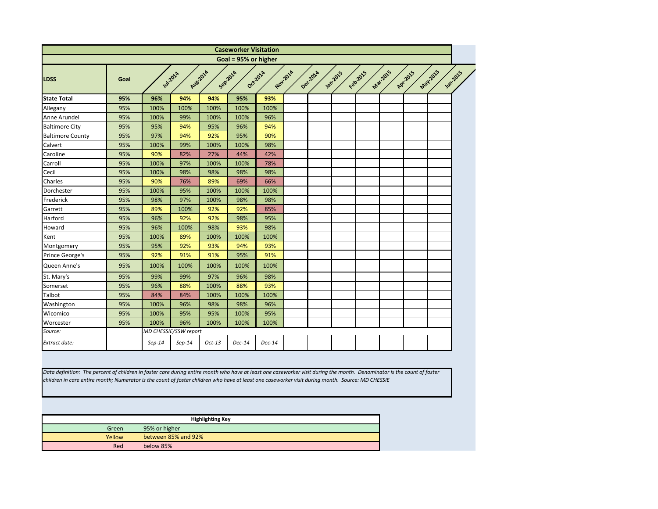<span id="page-7-0"></span>

|                         |      |                 |                       |          | <b>Caseworker Visitation</b> |                      |          |                 |          |          |          |                            |
|-------------------------|------|-----------------|-----------------------|----------|------------------------------|----------------------|----------|-----------------|----------|----------|----------|----------------------------|
|                         |      |                 |                       |          | Goal = 95% or higher         |                      |          |                 |          |          |          |                            |
| <b>LDSS</b>             | Goal | <b>Jul-2014</b> |                       | Aug-2014 | Sepraza                      | Oct-2014<br>Nov.2014 | Dec.2014 | <b>Jan-2015</b> | Februars | Mar-2015 | Apr.2015 | May2015<br><b>Jun-2015</b> |
| <b>State Total</b>      | 95%  | 96%             | 94%                   | 94%      | 95%                          | 93%                  |          |                 |          |          |          |                            |
| Allegany                | 95%  | 100%            | 100%                  | 100%     | 100%                         | 100%                 |          |                 |          |          |          |                            |
| Anne Arundel            | 95%  | 100%            | 99%                   | 100%     | 100%                         | 96%                  |          |                 |          |          |          |                            |
| <b>Baltimore City</b>   | 95%  | 95%             | 94%                   | 95%      | 96%                          | 94%                  |          |                 |          |          |          |                            |
| <b>Baltimore County</b> | 95%  | 97%             | 94%                   | 92%      | 95%                          | 90%                  |          |                 |          |          |          |                            |
| Calvert                 | 95%  | 100%            | 99%                   | 100%     | 100%                         | 98%                  |          |                 |          |          |          |                            |
| Caroline                | 95%  | 90%             | 82%                   | 27%      | 44%                          | 42%                  |          |                 |          |          |          |                            |
| Carroll                 | 95%  | 100%            | 97%                   | 100%     | 100%                         | 78%                  |          |                 |          |          |          |                            |
| Cecil                   | 95%  | 100%            | 98%                   | 98%      | 98%                          | 98%                  |          |                 |          |          |          |                            |
| Charles                 | 95%  | 90%             | 76%                   | 89%      | 69%                          | 66%                  |          |                 |          |          |          |                            |
| Dorchester              | 95%  | 100%            | 95%                   | 100%     | 100%                         | 100%                 |          |                 |          |          |          |                            |
| Frederick               | 95%  | 98%             | 97%                   | 100%     | 98%                          | 98%                  |          |                 |          |          |          |                            |
| Garrett                 | 95%  | 89%             | 100%                  | 92%      | 92%                          | 85%                  |          |                 |          |          |          |                            |
| Harford                 | 95%  | 96%             | 92%                   | 92%      | 98%                          | 95%                  |          |                 |          |          |          |                            |
| Howard                  | 95%  | 96%             | 100%                  | 98%      | 93%                          | 98%                  |          |                 |          |          |          |                            |
| Kent                    | 95%  | 100%            | 89%                   | 100%     | 100%                         | 100%                 |          |                 |          |          |          |                            |
| Montgomery              | 95%  | 95%             | 92%                   | 93%      | 94%                          | 93%                  |          |                 |          |          |          |                            |
| Prince George's         | 95%  | 92%             | 91%                   | 91%      | 95%                          | 91%                  |          |                 |          |          |          |                            |
| Queen Anne's            | 95%  | 100%            | 100%                  | 100%     | 100%                         | 100%                 |          |                 |          |          |          |                            |
| St. Mary's              | 95%  | 99%             | 99%                   | 97%      | 96%                          | 98%                  |          |                 |          |          |          |                            |
| Somerset                | 95%  | 96%             | 88%                   | 100%     | 88%                          | 93%                  |          |                 |          |          |          |                            |
| Talbot                  | 95%  | 84%             | 84%                   | 100%     | 100%                         | 100%                 |          |                 |          |          |          |                            |
| Washington              | 95%  | 100%            | 96%                   | 98%      | 98%                          | 96%                  |          |                 |          |          |          |                            |
| Wicomico                | 95%  | 100%            | 95%                   | 95%      | 100%                         | 95%                  |          |                 |          |          |          |                            |
| Worcester               | 95%  | 100%            | 96%                   | 100%     | 100%                         | 100%                 |          |                 |          |          |          |                            |
| Source:                 |      |                 | MD CHESSIE/SSW report |          |                              |                      |          |                 |          |          |          |                            |
| Extract date:           |      | $Sep-14$        | $Sep-14$              | $Oct-13$ | Dec-14                       | $Dec-14$             |          |                 |          |          |          |                            |

| Green  | 95% or higher       |  |  |  |  |  |  |
|--------|---------------------|--|--|--|--|--|--|
| Yellow | between 85% and 92% |  |  |  |  |  |  |
| Red    | below 85%           |  |  |  |  |  |  |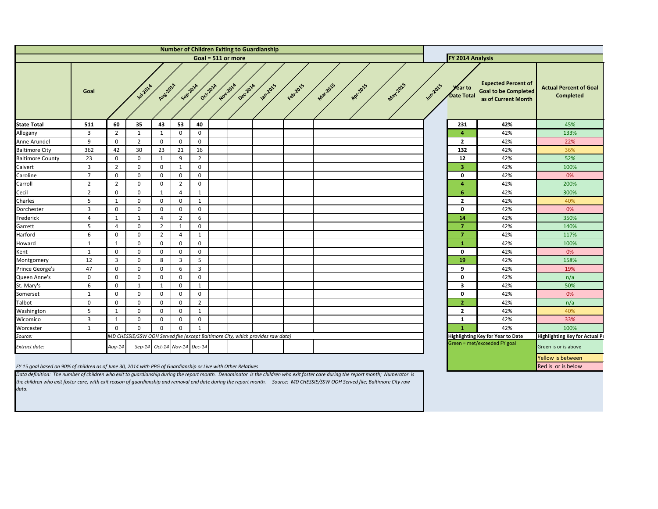<span id="page-8-0"></span>

| <b>Number of Children Exiting to Guardianship</b>                                                             |                      |                  |                |                               |                  |                |          |          |                                                                                 |          |                 |                  |          |               |                                     |                                                                                  |                                                   |
|---------------------------------------------------------------------------------------------------------------|----------------------|------------------|----------------|-------------------------------|------------------|----------------|----------|----------|---------------------------------------------------------------------------------|----------|-----------------|------------------|----------|---------------|-------------------------------------|----------------------------------------------------------------------------------|---------------------------------------------------|
|                                                                                                               | Goal = $511$ or more |                  |                |                               |                  |                |          |          |                                                                                 |          |                 | FY 2014 Analysis |          |               |                                     |                                                                                  |                                                   |
|                                                                                                               | Goal                 |                  | <b>W12014</b>  | Aug 2014                      | Seprator         | Oct-2014       | Nov.201A | Dec.2014 | Jan-2015                                                                        | February | <b>Mat.2015</b> | Apr.2015         | May-2015 | <b>Wm2015</b> | <b>Year to</b><br><b>Date Total</b> | <b>Expected Percent of</b><br><b>Goal to be Completed</b><br>as of Current Month | <b>Actual Percent of Goal</b><br><b>Completed</b> |
| <b>State Total</b>                                                                                            | 511                  | 60               | 35             | 43                            | 53               | 40             |          |          |                                                                                 |          |                 |                  |          |               | 231                                 | 42%                                                                              | 45%                                               |
| Allegany                                                                                                      | 3                    | $\overline{2}$   | $\mathbf{1}$   | $\mathbf{1}$                  | $\mathbf{0}$     | $\mathbf{0}$   |          |          |                                                                                 |          |                 |                  |          |               | 4                                   | 42%                                                                              | 133%                                              |
| Anne Arundel                                                                                                  | 9                    | $\mathbf 0$      | $\overline{2}$ | $\mathbf 0$                   | $\mathbf 0$      | $\mathbf 0$    |          |          |                                                                                 |          |                 |                  |          |               | $\overline{\mathbf{2}}$             | 42%                                                                              | 22%                                               |
| <b>Baltimore City</b>                                                                                         | 362                  | 42               | 30             | 23                            | 21               | 16             |          |          |                                                                                 |          |                 |                  |          |               | 132                                 | 42%                                                                              | 36%                                               |
| <b>Baltimore County</b>                                                                                       | 23                   | $\boldsymbol{0}$ | $\mathbf 0$    | $\mathbf{1}$                  | 9                | 2              |          |          |                                                                                 |          |                 |                  |          |               | 12                                  | 42%                                                                              | 52%                                               |
| Calvert                                                                                                       | 3                    | $\overline{2}$   | $\mathbf 0$    | $\mathbf 0$                   | $\mathbf{1}$     | $\mathbf 0$    |          |          |                                                                                 |          |                 |                  |          |               | 3                                   | 42%                                                                              | 100%                                              |
| Caroline                                                                                                      | $\overline{7}$       | $\boldsymbol{0}$ | 0              | $\mathbf 0$                   | $\overline{0}$   | 0              |          |          |                                                                                 |          |                 |                  |          |               | $\mathbf 0$                         | 42%                                                                              | 0%                                                |
| Carroll                                                                                                       | $\overline{2}$       | $\overline{2}$   | $\mathbf 0$    | $\mathbf 0$                   | $\overline{2}$   | $\mathbf 0$    |          |          |                                                                                 |          |                 |                  |          |               | 4                                   | 42%                                                                              | 200%                                              |
| Cecil                                                                                                         | $\overline{2}$       | $\mathbf 0$      | $\mathbf 0$    | $\mathbf{1}$                  | 4                | 1              |          |          |                                                                                 |          |                 |                  |          |               | 6                                   | 42%                                                                              | 300%                                              |
| Charles                                                                                                       | 5                    | $\mathbf{1}$     | $\mathbf 0$    | $\mathbf 0$                   | $\overline{0}$   | 1              |          |          |                                                                                 |          |                 |                  |          |               | $\overline{2}$                      | 42%                                                                              | 40%                                               |
| Dorchester                                                                                                    | 3                    | $\mathbf 0$      | $\mathbf{0}$   | $\mathbf{0}$                  | $\overline{0}$   | $\mathbf{0}$   |          |          |                                                                                 |          |                 |                  |          |               | $\mathbf 0$                         | 42%                                                                              | 0%                                                |
| Frederick                                                                                                     | 4                    | $\mathbf{1}$     | $\mathbf{1}$   | 4                             | $\overline{2}$   | 6              |          |          |                                                                                 |          |                 |                  |          |               | 14                                  | 42%                                                                              | 350%                                              |
| Garrett                                                                                                       | 5                    | $\overline{4}$   | $\mathbf 0$    | $\overline{2}$                | $\mathbf{1}$     | $\mathbf{0}$   |          |          |                                                                                 |          |                 |                  |          |               | 7                                   | 42%                                                                              | 140%                                              |
| Harford                                                                                                       | 6                    | $\mathbf 0$      | 0              | $\overline{2}$                | $\overline{4}$   | 1              |          |          |                                                                                 |          |                 |                  |          |               | $\overline{7}$                      | 42%                                                                              | 117%                                              |
| Howard                                                                                                        | $\mathbf{1}$         | $\mathbf{1}$     | $\mathbf 0$    | 0                             | $\mathbf 0$      | $\mathbf 0$    |          |          |                                                                                 |          |                 |                  |          |               | -1                                  | 42%                                                                              | 100%                                              |
| Kent                                                                                                          | 1                    | $\mathbf 0$      | $\mathbf{0}$   | $\mathbf{0}$                  | $\mathbf 0$      | $\mathbf 0$    |          |          |                                                                                 |          |                 |                  |          |               | $\mathbf 0$                         | 42%                                                                              | 0%                                                |
| Montgomery                                                                                                    | 12                   | $\overline{3}$   | $\mathbf 0$    | 8                             | $\overline{3}$   | 5              |          |          |                                                                                 |          |                 |                  |          |               | <b>19</b>                           | 42%                                                                              | 158%                                              |
| Prince George's                                                                                               | 47                   | $\mathbf 0$      | $\mathbf{0}$   | $\mathbf{0}$                  | 6                | 3              |          |          |                                                                                 |          |                 |                  |          |               | 9                                   | 42%                                                                              | 19%                                               |
| Queen Anne's                                                                                                  | 0                    | $\mathbf 0$      | 0              | $\mathbf{0}$                  | $\mathbf 0$      | 0              |          |          |                                                                                 |          |                 |                  |          |               | $\mathbf 0$                         | 42%                                                                              | n/a                                               |
| St. Mary's                                                                                                    | 6                    | $\mathbf 0$      | 1              | $\mathbf{1}$                  | $\overline{0}$   | $\mathbf{1}$   |          |          |                                                                                 |          |                 |                  |          |               | $\overline{\mathbf{3}}$             | 42%                                                                              | 50%                                               |
| Somerset                                                                                                      | 1                    | $\boldsymbol{0}$ | 0              | 0                             | $\mathbf 0$      | 0              |          |          |                                                                                 |          |                 |                  |          |               | $\mathbf 0$                         | 42%                                                                              | 0%                                                |
| Talbot                                                                                                        | 0                    | $\mathbf 0$      | $\mathbf{0}$   | 0                             | $\mathbf 0$      | $\overline{2}$ |          |          |                                                                                 |          |                 |                  |          |               | $\overline{2}$                      | 42%                                                                              | n/a                                               |
| Washington                                                                                                    | 5                    | $\mathbf{1}$     | $\bf{0}$       | $\mathbf 0$                   | $\mathbf{0}$     | 1              |          |          |                                                                                 |          |                 |                  |          |               | $\overline{\mathbf{2}}$             | 42%                                                                              | 40%                                               |
| Wicomico                                                                                                      | 3                    | $\mathbf{1}$     | 0              | $\mathbf 0$                   | $\boldsymbol{0}$ | $\mathbf{0}$   |          |          |                                                                                 |          |                 |                  |          |               | -1                                  | 42%                                                                              | 33%                                               |
| Worcester                                                                                                     | 1                    | $\Omega$         | $\Omega$       | $\Omega$                      | $\overline{0}$   | $\mathbf{1}$   |          |          |                                                                                 |          |                 |                  |          |               |                                     | 42%                                                                              | 100%                                              |
| Source:                                                                                                       |                      |                  |                |                               |                  |                |          |          | MD CHESSIE/SSW OOH Served file (except Baltimore City, which provides raw data) |          |                 |                  |          |               |                                     | <b>Highlighting Key for Year to Date</b>                                         | <b>Highlighting Key for Actual Pe</b>             |
| Extract date:                                                                                                 |                      | $Aug-14$         |                | Sep-14 $Oct-14$ Nov-14 Dec-14 |                  |                |          |          |                                                                                 |          |                 |                  |          |               |                                     | Green = met/exceeded FY goal                                                     | Green is or is above                              |
|                                                                                                               |                      |                  |                |                               |                  |                |          |          |                                                                                 |          |                 |                  |          |               |                                     |                                                                                  | Yellow is between                                 |
| FY 15 goal based on 90% of children as of June 30, 2014 with PPG of Guardianship or Live with Other Relatives |                      |                  |                |                               |                  |                |          |          |                                                                                 |          |                 |                  |          |               |                                     |                                                                                  | Red is or is below                                |

*Data definition: The number of children who exit to guardianship during the report month. Denominator is the children who exit foster care during the report month; Numerator is the children who exit foster care, with exit reason of guardianship and removal end date during the report month. Source: MD CHESSIE/SSW OOH Served file; Baltimore City raw data.*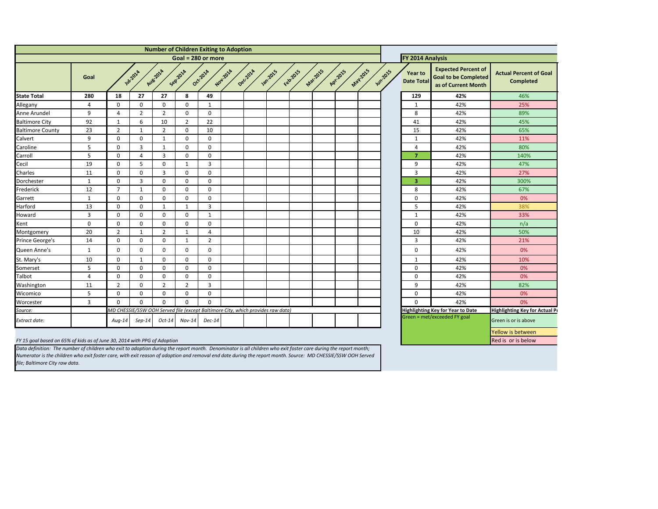<span id="page-9-0"></span>

| <b>Number of Children Exiting to Adoption</b> |                |                |                |                |                |                                                                                 |          |         |          |          |          |           |                 |               |                              |                                                                                  |                                                   |  |  |
|-----------------------------------------------|----------------|----------------|----------------|----------------|----------------|---------------------------------------------------------------------------------|----------|---------|----------|----------|----------|-----------|-----------------|---------------|------------------------------|----------------------------------------------------------------------------------|---------------------------------------------------|--|--|
|                                               |                |                |                |                |                | Goal = $280$ or more                                                            |          |         |          |          |          |           |                 |               | <b>FY 2014 Analysis</b>      |                                                                                  |                                                   |  |  |
|                                               | Goal           |                | <b>W.2014</b>  | Aug 2014       | Sepzoza        | Oct-2014                                                                        | Nov.201A | Deczoza | Jan-2015 | Februars | Mar.2015 | Apr. 2015 | <b>May 2015</b> | <b>Wazozs</b> | <b>Year to</b><br>Date Total | <b>Expected Percent of</b><br><b>Goal to be Completed</b><br>as of Current Month | <b>Actual Percent of Goal</b><br><b>Completed</b> |  |  |
| <b>State Total</b>                            | 280            | 18             | 27             | 27             | 8              | 49                                                                              |          |         |          |          |          |           |                 |               | 129                          | 42%                                                                              | 46%                                               |  |  |
| Allegany                                      | 4              | $\Omega$       | $\mathbf 0$    | 0              | $\mathbf 0$    | $\mathbf{1}$                                                                    |          |         |          |          |          |           |                 |               | $\mathbf{1}$                 | 42%                                                                              | 25%                                               |  |  |
| Anne Arundel                                  | 9              | 4              | $\overline{2}$ | $2^{\circ}$    | $\mathbf 0$    | $\mathbf 0$                                                                     |          |         |          |          |          |           |                 |               | 8                            | 42%                                                                              | 89%                                               |  |  |
| <b>Baltimore City</b>                         | 92             | -1             | 6              | 10             | $\overline{2}$ | 22                                                                              |          |         |          |          |          |           |                 |               | 41                           | 42%                                                                              | 45%                                               |  |  |
| <b>Baltimore County</b>                       | 23             | $\overline{2}$ | $\mathbf{1}$   | $\overline{2}$ | $\mathbf 0$    | 10                                                                              |          |         |          |          |          |           |                 |               | 15                           | 42%                                                                              | 65%                                               |  |  |
| Calvert                                       | 9              | $\mathbf 0$    | $\mathbf{0}$   | $\mathbf{1}$   | $\mathbf 0$    | $\mathbf 0$                                                                     |          |         |          |          |          |           |                 |               | 1                            | 42%                                                                              | 11%                                               |  |  |
| Caroline                                      | 5              | 0              | $\mathbf{3}$   | $\mathbf{1}$   | $\mathbf 0$    | $\mathbf 0$                                                                     |          |         |          |          |          |           |                 |               | 4                            | 42%                                                                              | 80%                                               |  |  |
| Carroll                                       | 5              | $\mathbf 0$    | 4              | $\mathbf{3}$   | $\mathbf 0$    | $\mathbf 0$                                                                     |          |         |          |          |          |           |                 |               | $\overline{\mathbf{z}}$      | 42%                                                                              | 140%                                              |  |  |
| Cecil                                         | 19             | $\Omega$       | 5              | 0              | 1              | 3                                                                               |          |         |          |          |          |           |                 |               | 9                            | 42%                                                                              | 47%                                               |  |  |
| Charles                                       | 11             | $\mathbf 0$    | $\mathbf 0$    | 3              | $\mathbf 0$    | $\mathbf 0$                                                                     |          |         |          |          |          |           |                 |               | 3                            | 42%                                                                              | 27%                                               |  |  |
| Dorchester                                    | $\mathbf{1}$   | $\mathbf{0}$   | 3              | 0              | $\mathbf 0$    | $\mathbf 0$                                                                     |          |         |          |          |          |           |                 |               | $\mathbf{3}$                 | 42%                                                                              | 300%                                              |  |  |
| Frederick                                     | 12             | $\overline{7}$ | $\mathbf{1}$   | 0              | $\mathbf 0$    | $\mathbf 0$                                                                     |          |         |          |          |          |           |                 |               | 8                            | 42%                                                                              | 67%                                               |  |  |
| Garrett                                       | $\mathbf{1}$   | $\mathbf 0$    | $\mathbf 0$    | $\mathbf{0}$   | $\mathbf 0$    | $\mathbf 0$                                                                     |          |         |          |          |          |           |                 |               | 0                            | 42%                                                                              | 0%                                                |  |  |
| Harford                                       | 13             | 0              | $\mathbf 0$    | $\mathbf{1}$   | -1             | $\mathbf{3}$                                                                    |          |         |          |          |          |           |                 |               | 5                            | 42%                                                                              | 38%                                               |  |  |
| Howard                                        | $\overline{3}$ | $\mathbf 0$    | $\mathbf 0$    | $\mathbf 0$    | $\mathbf 0$    | $\mathbf{1}$                                                                    |          |         |          |          |          |           |                 |               | $\mathbf{1}$                 | 42%                                                                              | 33%                                               |  |  |
| Kent                                          | $\mathbf 0$    | $\Omega$       | $\Omega$       | 0              | $\mathbf 0$    | $\mathbf 0$                                                                     |          |         |          |          |          |           |                 |               | 0                            | 42%                                                                              | n/a                                               |  |  |
| Montgomery                                    | 20             | $2^{\circ}$    | 1              | $\overline{2}$ | $\mathbf 1$    | $\overline{4}$                                                                  |          |         |          |          |          |           |                 |               | 10                           | 42%                                                                              | 50%                                               |  |  |
| Prince George's                               | 14             | $\mathbf 0$    | $\mathbf 0$    | 0              | -1             | $\overline{2}$                                                                  |          |         |          |          |          |           |                 |               | 3                            | 42%                                                                              | 21%                                               |  |  |
| Queen Anne's                                  | $\mathbf{1}$   | 0              | $\mathbf 0$    | 0              | $\mathbf 0$    | 0                                                                               |          |         |          |          |          |           |                 |               | 0                            | 42%                                                                              | 0%                                                |  |  |
| St. Mary's                                    | 10             | $\mathbf{0}$   | $\mathbf{1}$   | 0              | $\mathbf 0$    | $\mathbf 0$                                                                     |          |         |          |          |          |           |                 |               | $\mathbf{1}$                 | 42%                                                                              | 10%                                               |  |  |
| Somerset                                      | 5              | $\Omega$       | $\mathbf 0$    | $\overline{0}$ | $\mathbf 0$    | $\mathbf 0$                                                                     |          |         |          |          |          |           |                 |               | 0                            | 42%                                                                              | 0%                                                |  |  |
| Talbot                                        | 4              | $\mathbf{0}$   | $\mathbf 0$    | 0              | $\mathbf 0$    | $\mathbf 0$                                                                     |          |         |          |          |          |           |                 |               | 0                            | 42%                                                                              | 0%                                                |  |  |
| Washington                                    | 11             | $\overline{2}$ | 0              | $\overline{2}$ | $\overline{2}$ | 3                                                                               |          |         |          |          |          |           |                 |               | 9                            | 42%                                                                              | 82%                                               |  |  |
| Wicomico                                      | 5              | $\mathbf 0$    | $\mathbf 0$    | 0              | $\mathbf 0$    | $\mathbf 0$                                                                     |          |         |          |          |          |           |                 |               | 0                            | 42%                                                                              | 0%                                                |  |  |
| Worcester                                     | $\mathbf{3}$   | $\overline{0}$ | $\mathbf 0$    | 0              | $\mathbf 0$    | $\mathbf 0$                                                                     |          |         |          |          |          |           |                 |               | 0                            | 42%                                                                              | 0%                                                |  |  |
| Source:                                       |                |                |                |                |                | MD CHESSIE/SSW OOH Served file (except Baltimore City, which provides raw data) |          |         |          |          |          |           |                 |               |                              | Highlighting Key for Year to Date                                                | <b>Highlighting Key for Actual Pe</b>             |  |  |
| Extract date:                                 |                | Aug-14         | $Sep-14$       | $Oct-14$       | $Nov-14$       | $Dec-14$                                                                        |          |         |          |          |          |           |                 |               |                              | Green = met/exceeded FY goal                                                     | Green is or is above                              |  |  |
|                                               |                |                |                |                |                |                                                                                 |          |         |          |          |          |           |                 |               |                              |                                                                                  | Yellow is between                                 |  |  |

*FY 15 goal based on 65% of kids as of June 30, 2014 with PPG of Adoption* 

| <b>Actual Percent of Goal</b><br><b>Completed</b> |  |  |  |  |  |  |  |  |
|---------------------------------------------------|--|--|--|--|--|--|--|--|
| 46%                                               |  |  |  |  |  |  |  |  |
| 25%                                               |  |  |  |  |  |  |  |  |
| 89%                                               |  |  |  |  |  |  |  |  |
| 45%                                               |  |  |  |  |  |  |  |  |
| 65%                                               |  |  |  |  |  |  |  |  |
| 11%                                               |  |  |  |  |  |  |  |  |
| 80%                                               |  |  |  |  |  |  |  |  |
| 140%                                              |  |  |  |  |  |  |  |  |
| 47%                                               |  |  |  |  |  |  |  |  |
| 27%                                               |  |  |  |  |  |  |  |  |
| 300%                                              |  |  |  |  |  |  |  |  |
| 67%                                               |  |  |  |  |  |  |  |  |
| 0%                                                |  |  |  |  |  |  |  |  |
| 38%                                               |  |  |  |  |  |  |  |  |
| 33%                                               |  |  |  |  |  |  |  |  |
| n/a                                               |  |  |  |  |  |  |  |  |
| 50%                                               |  |  |  |  |  |  |  |  |
| 21%                                               |  |  |  |  |  |  |  |  |
| 0%                                                |  |  |  |  |  |  |  |  |
| 10%                                               |  |  |  |  |  |  |  |  |
| 0%                                                |  |  |  |  |  |  |  |  |
| 0%                                                |  |  |  |  |  |  |  |  |
| 82%                                               |  |  |  |  |  |  |  |  |
| 0%                                                |  |  |  |  |  |  |  |  |
| 0%                                                |  |  |  |  |  |  |  |  |
| <b>Highlighting Key for Actual Pe</b>             |  |  |  |  |  |  |  |  |
| Green is or is above                              |  |  |  |  |  |  |  |  |
| Yellow is between                                 |  |  |  |  |  |  |  |  |
| Red is or is below                                |  |  |  |  |  |  |  |  |
|                                                   |  |  |  |  |  |  |  |  |

*Data definition: The number of children who exit to adoption during the report month. Denominator is all children who exit foster care during the report month; Numerator is the children who exit foster care, with exit reason of adoption and removal end date during the report month. Source: MD CHESSIE/SSW OOH Served file; Baltimore City raw data.*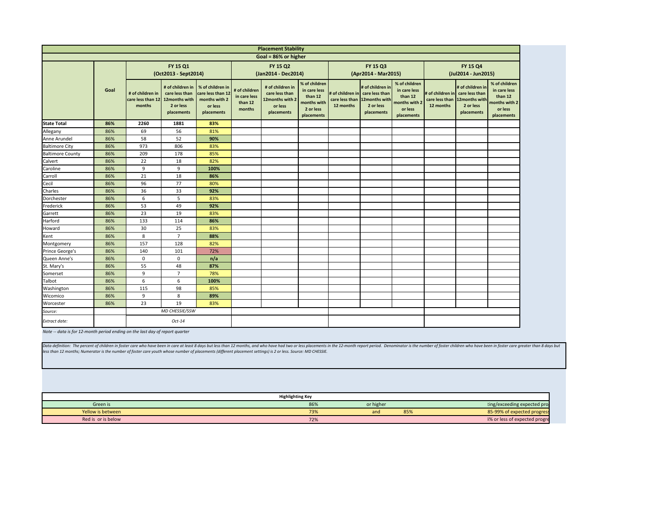Data definition: The percent of children in foster care who have been in care at least 8 days but less than 12 months, and who have had two or less placements in the 12-month report period. Denominator is the number *less than 12 months; Numerator is the number of foster care youth whose number of placements (different placement settings) is 2 or less. Source: MD CHESSIE.*

<span id="page-10-0"></span>

|                         |      |                                                 |                                                                                |                                                                                 |                                                    | <b>Placement Stability</b>                                                     |                                                                                    |                                                  |                                                                               |                                                                                    |                             |  |
|-------------------------|------|-------------------------------------------------|--------------------------------------------------------------------------------|---------------------------------------------------------------------------------|----------------------------------------------------|--------------------------------------------------------------------------------|------------------------------------------------------------------------------------|--------------------------------------------------|-------------------------------------------------------------------------------|------------------------------------------------------------------------------------|-----------------------------|--|
|                         |      |                                                 |                                                                                |                                                                                 |                                                    | Goal = 86% or higher                                                           |                                                                                    |                                                  |                                                                               |                                                                                    |                             |  |
|                         |      |                                                 | FY 15 Q1<br>(Oct2013 - Sept2014)                                               |                                                                                 |                                                    | <b>FY 15 Q2</b><br>(Jan2014 - Dec2014)                                         |                                                                                    |                                                  | <b>FY 15 Q3</b><br>(Apr2014 - Mar2015)                                        |                                                                                    |                             |  |
|                         | Goal | # of children in<br>care less than 12<br>months | # of children in<br>care less than<br>12months with<br>2 or less<br>placements | % of children in<br>care less than 12<br>months with 2<br>or less<br>placements | # of children<br>in care less<br>than 12<br>months | # of children in<br>care less than<br>12months with 2<br>or less<br>placements | % of children<br>in care less<br>than 12<br>months with<br>2 or less<br>placements | # of children in $ $ care less than<br>12 months | # of children in<br>care less than  12months with <br>2 or less<br>placements | % of children<br>in care less<br>than 12<br>months with 2<br>or less<br>placements | # of<br>car<br>$\mathbf{1}$ |  |
| <b>State Total</b>      | 86%  | 2260                                            | 1881                                                                           | 83%                                                                             |                                                    |                                                                                |                                                                                    |                                                  |                                                                               |                                                                                    |                             |  |
| Allegany                | 86%  | 69                                              | 56                                                                             | 81%                                                                             |                                                    |                                                                                |                                                                                    |                                                  |                                                                               |                                                                                    |                             |  |
| Anne Arundel            | 86%  | 58                                              | 52                                                                             | 90%                                                                             |                                                    |                                                                                |                                                                                    |                                                  |                                                                               |                                                                                    |                             |  |
| <b>Baltimore City</b>   | 86%  | 973                                             | 806                                                                            | 83%                                                                             |                                                    |                                                                                |                                                                                    |                                                  |                                                                               |                                                                                    |                             |  |
| <b>Baltimore County</b> | 86%  | 209                                             | 178                                                                            | 85%                                                                             |                                                    |                                                                                |                                                                                    |                                                  |                                                                               |                                                                                    |                             |  |
| Calvert                 | 86%  | 22                                              | 18                                                                             | 82%                                                                             |                                                    |                                                                                |                                                                                    |                                                  |                                                                               |                                                                                    |                             |  |
| Caroline                | 86%  | 9                                               | 9                                                                              | 100%                                                                            |                                                    |                                                                                |                                                                                    |                                                  |                                                                               |                                                                                    |                             |  |
| Carroll                 | 86%  | 21                                              | 18                                                                             | 86%                                                                             |                                                    |                                                                                |                                                                                    |                                                  |                                                                               |                                                                                    |                             |  |
| Cecil                   | 86%  | 96                                              | 77                                                                             | 80%                                                                             |                                                    |                                                                                |                                                                                    |                                                  |                                                                               |                                                                                    |                             |  |
| Charles                 | 86%  | 36                                              | 33                                                                             | 92%                                                                             |                                                    |                                                                                |                                                                                    |                                                  |                                                                               |                                                                                    |                             |  |
| Dorchester              | 86%  | $\boldsymbol{6}$                                | 5                                                                              | 83%                                                                             |                                                    |                                                                                |                                                                                    |                                                  |                                                                               |                                                                                    |                             |  |
| Frederick               | 86%  | 53                                              | 49                                                                             | 92%                                                                             |                                                    |                                                                                |                                                                                    |                                                  |                                                                               |                                                                                    |                             |  |
| Garrett                 | 86%  | 23                                              | 19                                                                             | 83%                                                                             |                                                    |                                                                                |                                                                                    |                                                  |                                                                               |                                                                                    |                             |  |
| Harford                 | 86%  | 133                                             | 114                                                                            | 86%                                                                             |                                                    |                                                                                |                                                                                    |                                                  |                                                                               |                                                                                    |                             |  |
| Howard                  | 86%  | 30                                              | 25                                                                             | 83%                                                                             |                                                    |                                                                                |                                                                                    |                                                  |                                                                               |                                                                                    |                             |  |
| Kent                    | 86%  | 8                                               | $\overline{7}$                                                                 | 88%                                                                             |                                                    |                                                                                |                                                                                    |                                                  |                                                                               |                                                                                    |                             |  |
| Montgomery              | 86%  | 157                                             | 128                                                                            | 82%                                                                             |                                                    |                                                                                |                                                                                    |                                                  |                                                                               |                                                                                    |                             |  |
| Prince George's         | 86%  | 140                                             | 101                                                                            | 72%                                                                             |                                                    |                                                                                |                                                                                    |                                                  |                                                                               |                                                                                    |                             |  |
| Queen Anne's            | 86%  | 0                                               | $\mathbf 0$                                                                    | n/a                                                                             |                                                    |                                                                                |                                                                                    |                                                  |                                                                               |                                                                                    |                             |  |
| St. Mary's              | 86%  | 55                                              | 48                                                                             | 87%                                                                             |                                                    |                                                                                |                                                                                    |                                                  |                                                                               |                                                                                    |                             |  |
| Somerset                | 86%  | $9\,$                                           | $\overline{7}$                                                                 | 78%                                                                             |                                                    |                                                                                |                                                                                    |                                                  |                                                                               |                                                                                    |                             |  |
| Talbot                  | 86%  | 6                                               | 6                                                                              | 100%                                                                            |                                                    |                                                                                |                                                                                    |                                                  |                                                                               |                                                                                    |                             |  |
| Washington              | 86%  | 115                                             | 98                                                                             | 85%                                                                             |                                                    |                                                                                |                                                                                    |                                                  |                                                                               |                                                                                    |                             |  |
| Wicomico                | 86%  | 9                                               | 8                                                                              | 89%                                                                             |                                                    |                                                                                |                                                                                    |                                                  |                                                                               |                                                                                    |                             |  |
| Worcester               | 86%  | 23                                              | 19                                                                             | 83%                                                                             |                                                    |                                                                                |                                                                                    |                                                  |                                                                               |                                                                                    |                             |  |
| Source:                 |      |                                                 | MD CHESSIE/SSW                                                                 |                                                                                 |                                                    |                                                                                |                                                                                    |                                                  |                                                                               |                                                                                    |                             |  |
| Extract date:           |      |                                                 | $Oct-14$                                                                       |                                                                                 |                                                    |                                                                                |                                                                                    |                                                  |                                                                               |                                                                                    |                             |  |

| (Jul2014 - Jun2015)                                            |                                                              |                                                                                    |                                                                              |
|----------------------------------------------------------------|--------------------------------------------------------------|------------------------------------------------------------------------------------|------------------------------------------------------------------------------|
| # of children in care less than<br>care less than<br>12 months | # of children in<br>12months with<br>2 or less<br>placements | % of children<br>in care less<br>than 12<br>months with 2<br>or less<br>placements |                                                                              |
|                                                                |                                                              |                                                                                    |                                                                              |
|                                                                |                                                              |                                                                                    |                                                                              |
|                                                                |                                                              |                                                                                    |                                                                              |
|                                                                |                                                              |                                                                                    |                                                                              |
|                                                                |                                                              |                                                                                    |                                                                              |
|                                                                |                                                              |                                                                                    |                                                                              |
|                                                                |                                                              |                                                                                    |                                                                              |
|                                                                |                                                              |                                                                                    |                                                                              |
|                                                                |                                                              |                                                                                    |                                                                              |
|                                                                |                                                              |                                                                                    |                                                                              |
|                                                                |                                                              |                                                                                    |                                                                              |
|                                                                |                                                              |                                                                                    |                                                                              |
|                                                                |                                                              |                                                                                    |                                                                              |
|                                                                |                                                              |                                                                                    |                                                                              |
|                                                                |                                                              |                                                                                    |                                                                              |
|                                                                |                                                              |                                                                                    |                                                                              |
|                                                                |                                                              |                                                                                    |                                                                              |
|                                                                |                                                              |                                                                                    |                                                                              |
|                                                                |                                                              |                                                                                    |                                                                              |
|                                                                |                                                              |                                                                                    |                                                                              |
|                                                                |                                                              |                                                                                    |                                                                              |
|                                                                |                                                              |                                                                                    |                                                                              |
|                                                                |                                                              |                                                                                    |                                                                              |
|                                                                |                                                              |                                                                                    |                                                                              |
|                                                                |                                                              |                                                                                    | mber of foster children who have been in foster care greater than 8 days but |
|                                                                |                                                              |                                                                                    |                                                                              |
|                                                                |                                                              |                                                                                    |                                                                              |
|                                                                |                                                              |                                                                                    |                                                                              |
|                                                                |                                                              |                                                                                    |                                                                              |
|                                                                |                                                              |                                                                                    |                                                                              |
|                                                                |                                                              | ting/exceeding expected pro                                                        |                                                                              |
|                                                                |                                                              | 85-99% of expected progress<br>1% or less of expected progre                       |                                                                              |
|                                                                |                                                              |                                                                                    |                                                                              |

*Note -- data is for 12-month period ending on the last day of report quarter*

| <b>Highlighting Key</b> |     |           |     |                               |  |  |  |  |  |
|-------------------------|-----|-----------|-----|-------------------------------|--|--|--|--|--|
| Green is                | 86% | or higher |     | ting/exceeding expected pro   |  |  |  |  |  |
| Yellow is between       | 73% | and       | 85% | 85-99% of expected progress   |  |  |  |  |  |
| Red is or is below      | 72% |           |     | 1% or less of expected progre |  |  |  |  |  |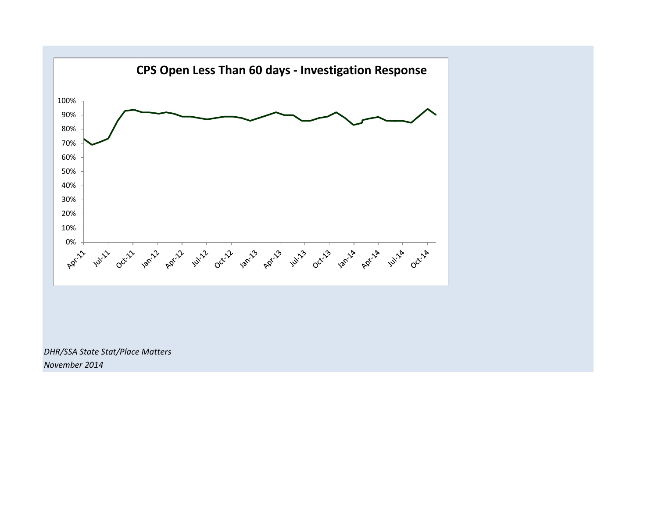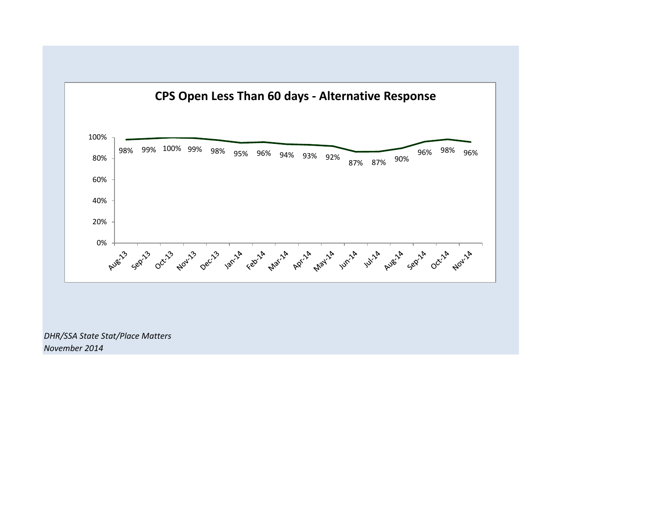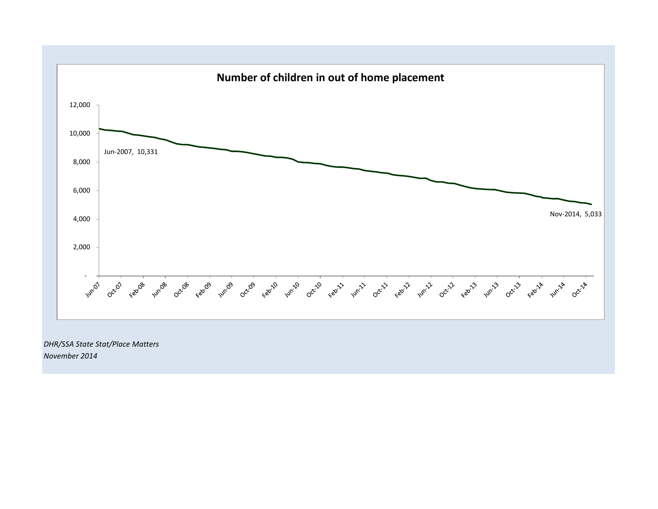

*November 2014*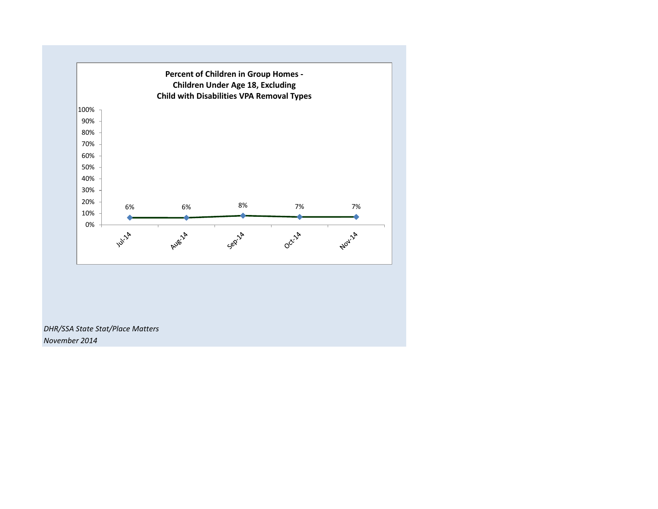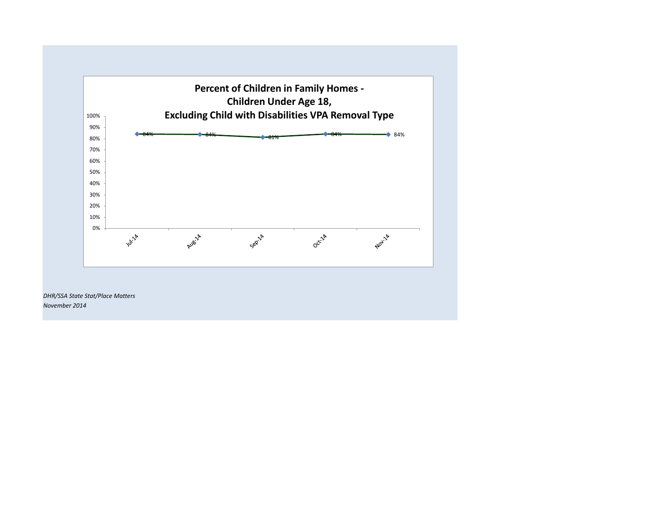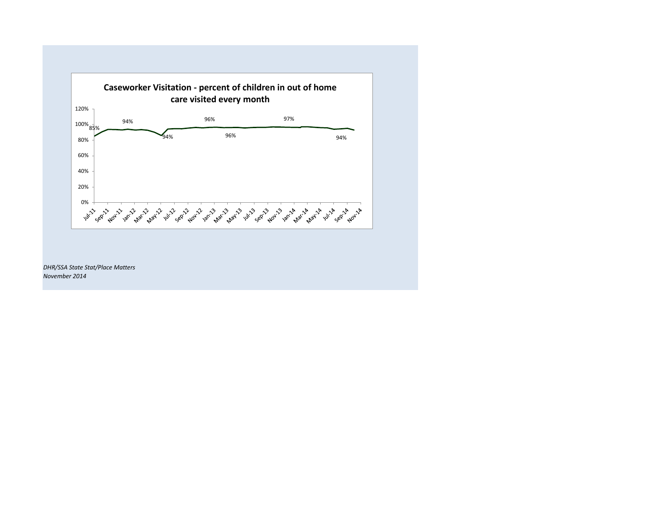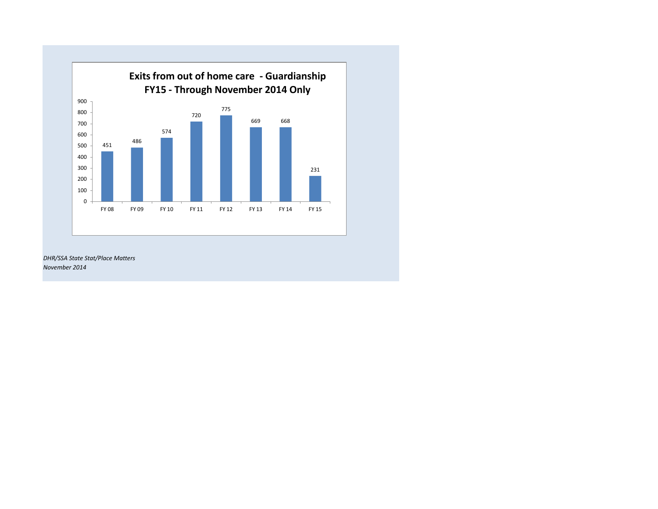